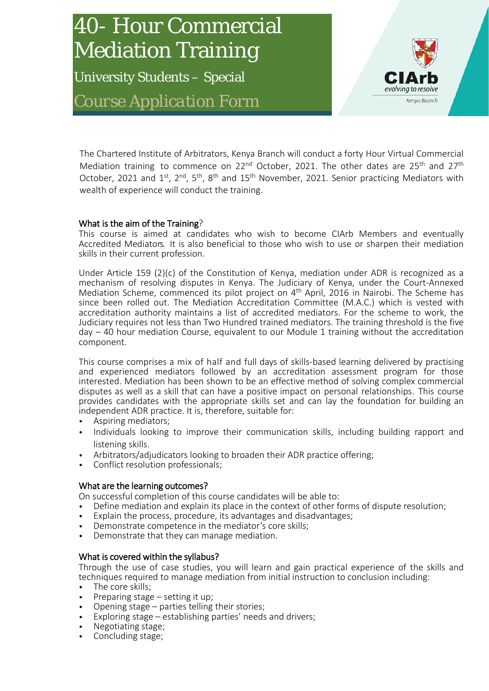# 40- Hour Commercial Mediation Training

University Students – Special *Course Application Form*



The Chartered Institute of Arbitrators, Kenya Branch will conduct a forty Hour Virtual Commercial Mediation training to commence on  $22^{nd}$  October, 2021. The other dates are  $25^{th}$  and  $27^{th}$ October, 2021 and 1<sup>st</sup>, 2<sup>nd</sup>, 5<sup>th</sup>, 8<sup>th</sup> and 15<sup>th</sup> November, 2021. Senior practicing Mediators with wealth of experience will conduct the training.

#### What is the aim of the Training?

This course is aimed at candidates who wish to become CIArb Members and eventually Accredited Mediators. It is also beneficial to those who wish to use or sharpen their mediation skills in their current profession.

Under Article 159 (2)(c) of the Constitution of Kenya, mediation under ADR is recognized as a mechanism of resolving disputes in Kenya. The Judiciary of Kenya, under the Court-Annexed Mediation Scheme, commenced its pilot project on 4<sup>th</sup> April, 2016 in Nairobi. The Scheme has since been rolled out. The Mediation Accreditation Committee (M.A.C.) which is vested with accreditation authority maintains a list of accredited mediators. For the scheme to work, the Judiciary requires not less than Two Hundred trained mediators. The training threshold is the five  $day - 40$  hour mediation Course, equivalent to our Module 1 training without the accreditation component.

This course comprises a mix of half and full days of skills-based learning delivered by practising and experienced mediators followed by an accreditation assessment program for those interested. Mediation has been shown to be an effective method of solving complex commercial disputes as well as a skill that can have a positive impact on personal relationships. This course provides candidates with the appropriate skills set and can lay the foundation for building an independent ADR practice. It is, therefore, suitable for:

- Aspiring mediators;
- Individuals looking to improve their communication skills, including building rapport and listening skills.
- Arbitrators/adjudicators looking to broaden their ADR practice offering;
- Conflict resolution professionals;

#### What are the learning outcomes?

On successful completion of this course candidates will be able to:

- Define mediation and explain its place in the context of other forms of dispute resolution;
- Explain the process, procedure, its advantages and disadvantages;
- Demonstrate competence in the mediator's core skills;
- Demonstrate that they can manage mediation.

#### What is covered within the syllabus?

Through the use of case studies, you will learn and gain practical experience of the skills and techniques required to manage mediation from initial instruction to conclusion including:

- The core skills;
- Preparing stage setting it up;
- Opening stage parties telling their stories;
- Exploring stage establishing parties' needs and drivers;
- Negotiating stage;
- Concluding stage;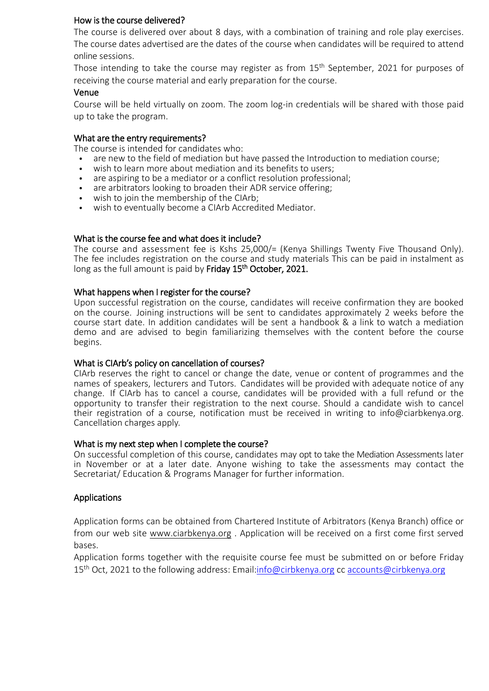#### How is the course delivered?

The course is delivered over about 8 days, with a combination of training and role play exercises. The course dates advertised are the dates of the course when candidates will be required to attend online sessions.

Those intending to take the course may register as from  $15<sup>th</sup>$  September, 2021 for purposes of receiving the course material and early preparation for the course.

#### Venue

Course will be held virtually on zoom. The zoom log-in credentials will be shared with those paid up to take the program.

#### What are the entry requirements?

The course is intended for candidates who:

- are new to the field of mediation but have passed the Introduction to mediation course;
- wish to learn more about mediation and its benefits to users;<br>• are aspiring to be a mediator or a conflict resolution professio
- are aspiring to be a mediator or a conflict resolution professional;
- are arbitrators looking to broaden their ADR service offering;
- wish to join the membership of the CIArb;
- wish to eventually become a CIArb Accredited Mediator.

#### What is the course fee and what does it include?

The course and assessment fee is Kshs 25,000/= (Kenya Shillings Twenty Five Thousand Only). The fee includes registration on the course and study materials This can be paid in instalment as long as the full amount is paid by Friday 15<sup>th</sup> October, 2021.

#### What happens when I register for the course?

Upon successful registration on the course, candidates will receive confirmation they are booked on the course. Joining instructions will be sent to candidates approximately 2 weeks before the course start date. In addition candidates will be sent a handbook & a link to watch a mediation demo and are advised to begin familiarizing themselves with the content before the course begins.

#### What is CIArb's policy on cancellation of courses?

CIArb reserves the right to cancel or change the date, venue or content of programmes and the names of speakers, lecturers and Tutors. Candidates will be provided with adequate notice of any change. If CIArb has to cancel a course, candidates will be provided with a full refund or the opportunity to transfer their registration to the next course. Should a candidate wish to cancel their registration of a course, notification must be received in writing to [info@ciarbkenya.org.](mailto:info@ciarbkenya.org) Cancellation charges apply.

#### What is my next step when I complete the course?

On successful completion of this course, candidates may opt to take the Mediation Assessments later in November or at a later date. Anyone wishing to take the assessments may contact the Secretariat/ Education & Programs Manager for further information.

#### Applications

Application forms can be obtained from Chartered Institute of Arbitrators (Kenya Branch) office or from our web site [www.ciarbkenya.org](http://www.ciarbkenya.org/) . Application will be received on a first come first served bases.

Application forms together with the requisite course fee must be submitted on or before Friday 15<sup>th</sup> Oct, 2021 to the following address: Email[:info@cirbkenya.org](mailto:info@cirbkenya.org) cc [accounts@cirbkenya.org](mailto:accounts@cirbkenya.org)